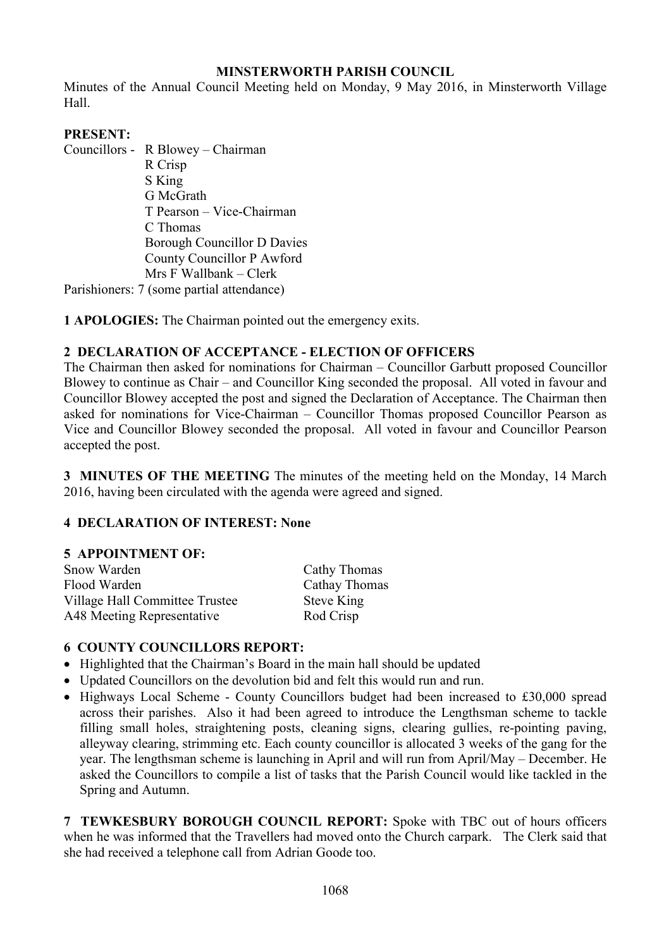### **MINSTERWORTH PARISH COUNCIL**

Minutes of the Annual Council Meeting held on Monday, 9 May 2016, in Minsterworth Village Hall.

### **PRESENT:**

Councillors - R Blowey – Chairman R Crisp S King G McGrath T Pearson – Vice-Chairman C Thomas Borough Councillor D Davies County Councillor P Awford Mrs F Wallbank – Clerk

Parishioners: 7 (some partial attendance)

**1 APOLOGIES:** The Chairman pointed out the emergency exits.

# **2 DECLARATION OF ACCEPTANCE - ELECTION OF OFFICERS**

The Chairman then asked for nominations for Chairman – Councillor Garbutt proposed Councillor Blowey to continue as Chair – and Councillor King seconded the proposal. All voted in favour and Councillor Blowey accepted the post and signed the Declaration of Acceptance. The Chairman then asked for nominations for Vice-Chairman – Councillor Thomas proposed Councillor Pearson as Vice and Councillor Blowey seconded the proposal. All voted in favour and Councillor Pearson accepted the post.

**3 MINUTES OF THE MEETING** The minutes of the meeting held on the Monday, 14 March 2016, having been circulated with the agenda were agreed and signed.

#### **4 DECLARATION OF INTEREST: None**

#### **5 APPOINTMENT OF:**

| Snow Warden                    | Cathy Thomas  |
|--------------------------------|---------------|
| Flood Warden                   | Cathay Thomas |
| Village Hall Committee Trustee | Steve King    |
| A48 Meeting Representative     | Rod Crisp     |

#### **6 COUNTY COUNCILLORS REPORT:**

- Highlighted that the Chairman's Board in the main hall should be updated
- Updated Councillors on the devolution bid and felt this would run and run.
- Highways Local Scheme County Councillors budget had been increased to £30,000 spread across their parishes. Also it had been agreed to introduce the Lengthsman scheme to tackle filling small holes, straightening posts, cleaning signs, clearing gullies, re-pointing paving, alleyway clearing, strimming etc. Each county councillor is allocated 3 weeks of the gang for the year. The lengthsman scheme is launching in April and will run from April/May – December. He asked the Councillors to compile a list of tasks that the Parish Council would like tackled in the Spring and Autumn.

**7 TEWKESBURY BOROUGH COUNCIL REPORT:** Spoke with TBC out of hours officers when he was informed that the Travellers had moved onto the Church carpark. The Clerk said that she had received a telephone call from Adrian Goode too.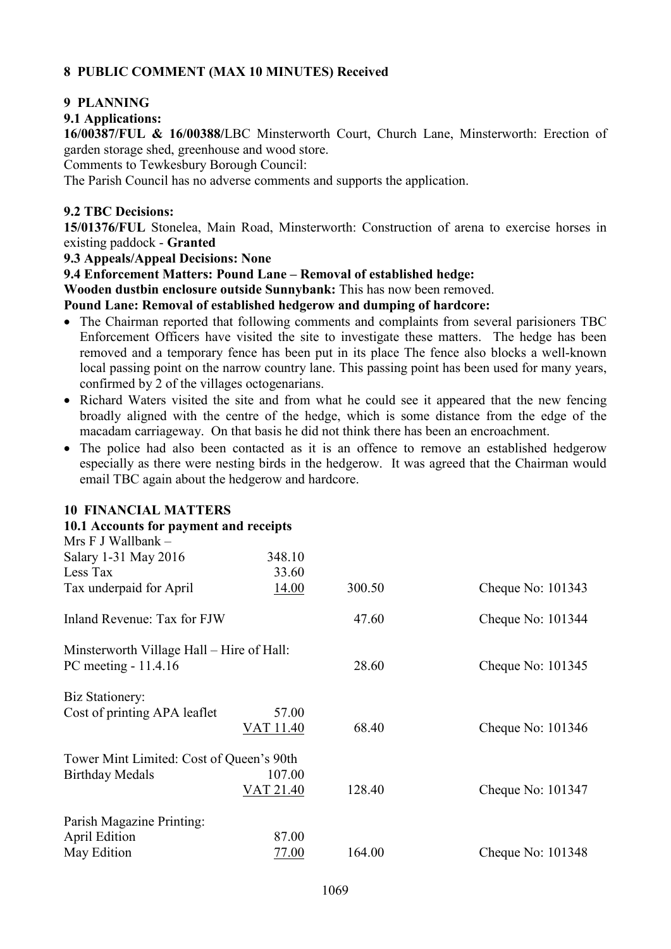# **8 PUBLIC COMMENT (MAX 10 MINUTES) Received**

### **9 PLANNING**

### **9.1 Applications:**

**16/00387/FUL & 16/00388/**LBC Minsterworth Court, Church Lane, Minsterworth: Erection of garden storage shed, greenhouse and wood store.

Comments to Tewkesbury Borough Council:

The Parish Council has no adverse comments and supports the application.

### **9.2 TBC Decisions:**

**15/01376/FUL** Stonelea, Main Road, Minsterworth: Construction of arena to exercise horses in existing paddock - **Granted**

#### **9.3 Appeals/Appeal Decisions: None**

**9.4 Enforcement Matters: Pound Lane – Removal of established hedge:** 

**Wooden dustbin enclosure outside Sunnybank:** This has now been removed.

#### **Pound Lane: Removal of established hedgerow and dumping of hardcore:**

- The Chairman reported that following comments and complaints from several parisioners TBC Enforcement Officers have visited the site to investigate these matters. The hedge has been removed and a temporary fence has been put in its place The fence also blocks a well-known local passing point on the narrow country lane. This passing point has been used for many years, confirmed by 2 of the villages octogenarians.
- Richard Waters visited the site and from what he could see it appeared that the new fencing broadly aligned with the centre of the hedge, which is some distance from the edge of the macadam carriageway. On that basis he did not think there has been an encroachment.
- The police had also been contacted as it is an offence to remove an established hedgerow especially as there were nesting birds in the hedgerow. It was agreed that the Chairman would email TBC again about the hedgerow and hardcore.

#### **10 FINANCIAL MATTERS**

| 10.1 Accounts for payment and receipts    |                  |        |                     |
|-------------------------------------------|------------------|--------|---------------------|
| Mrs F J Wallbank -                        |                  |        |                     |
| Salary 1-31 May 2016                      | 348.10           |        |                     |
| Less Tax                                  | 33.60            |        |                     |
| Tax underpaid for April                   | 14.00            | 300.50 | Cheque No: 101343   |
| Inland Revenue: Tax for FJW               |                  | 47.60  | Cheque No: 101344   |
| Minsterworth Village Hall – Hire of Hall: |                  |        |                     |
| PC meeting - 11.4.16                      |                  | 28.60  | Cheque No: $101345$ |
| Biz Stationery:                           |                  |        |                     |
| Cost of printing APA leaflet              | 57.00            |        |                     |
|                                           | VAT 11.40        | 68.40  | Cheque No: $101346$ |
| Tower Mint Limited: Cost of Queen's 90th  |                  |        |                     |
| <b>Birthday Medals</b>                    | 107.00           |        |                     |
|                                           | <b>VAT 21.40</b> | 128.40 | Cheque No: 101347   |
| Parish Magazine Printing:                 |                  |        |                     |
| <b>April Edition</b>                      | 87.00            |        |                     |
| May Edition                               | 77.00            | 164.00 | Cheque No: 101348   |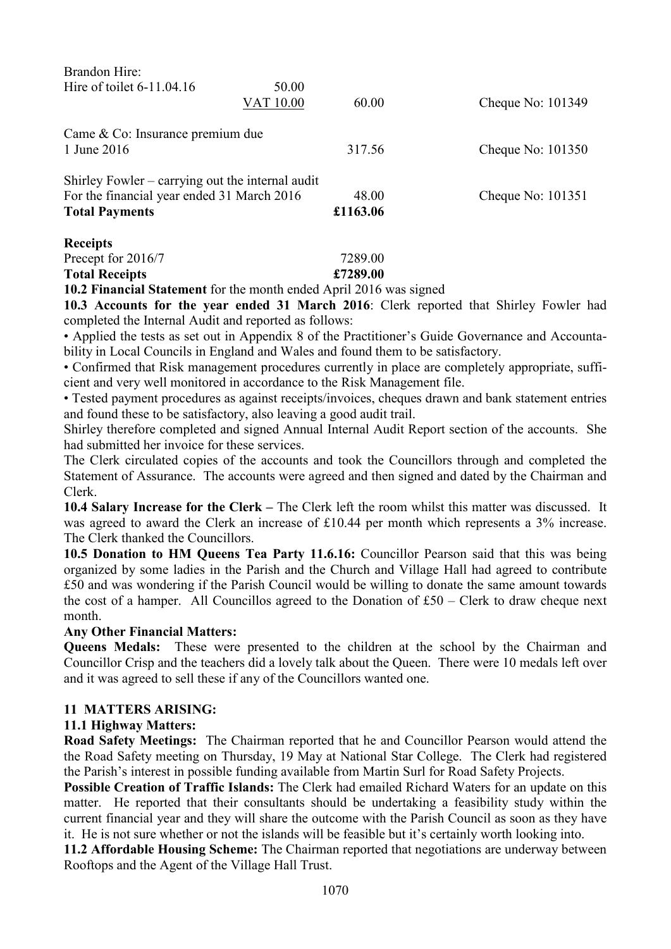| Brandon Hire:                                    |           |          |                   |
|--------------------------------------------------|-----------|----------|-------------------|
| Hire of toilet $6-11.04.16$                      | 50.00     |          |                   |
|                                                  | VAT 10.00 | 60.00    | Cheque No: 101349 |
| Came & Co: Insurance premium due                 |           |          |                   |
| 1 June 2016                                      |           | 317.56   | Cheque No: 101350 |
| Shirley Fowler – carrying out the internal audit |           |          |                   |
| For the financial year ended 31 March 2016       |           | 48.00    | Cheque No: 101351 |
| <b>Total Payments</b>                            |           | £1163.06 |                   |
| <b>Receipts</b>                                  |           |          |                   |
| Precept for 2016/7                               |           | 7289.00  |                   |

**Total Receipts £7289.00** 

**10.2 Financial Statement** for the month ended April 2016 was signed

**10.3 Accounts for the year ended 31 March 2016**: Clerk reported that Shirley Fowler had completed the Internal Audit and reported as follows:

• Applied the tests as set out in Appendix 8 of the Practitioner's Guide Governance and Accountability in Local Councils in England and Wales and found them to be satisfactory.

• Confirmed that Risk management procedures currently in place are completely appropriate, sufficient and very well monitored in accordance to the Risk Management file.

• Tested payment procedures as against receipts/invoices, cheques drawn and bank statement entries and found these to be satisfactory, also leaving a good audit trail.

Shirley therefore completed and signed Annual Internal Audit Report section of the accounts. She had submitted her invoice for these services.

The Clerk circulated copies of the accounts and took the Councillors through and completed the Statement of Assurance. The accounts were agreed and then signed and dated by the Chairman and Clerk.

**10.4 Salary Increase for the Clerk –** The Clerk left the room whilst this matter was discussed. It was agreed to award the Clerk an increase of £10.44 per month which represents a 3% increase. The Clerk thanked the Councillors.

**10.5 Donation to HM Queens Tea Party 11.6.16:** Councillor Pearson said that this was being organized by some ladies in the Parish and the Church and Village Hall had agreed to contribute £50 and was wondering if the Parish Council would be willing to donate the same amount towards the cost of a hamper. All Councillos agreed to the Donation of £50 – Clerk to draw cheque next month.

#### **Any Other Financial Matters:**

**Queens Medals:** These were presented to the children at the school by the Chairman and Councillor Crisp and the teachers did a lovely talk about the Queen. There were 10 medals left over and it was agreed to sell these if any of the Councillors wanted one.

#### **11 MATTERS ARISING:**

#### **11.1 Highway Matters:**

**Road Safety Meetings:** The Chairman reported that he and Councillor Pearson would attend the the Road Safety meeting on Thursday, 19 May at National Star College. The Clerk had registered the Parish's interest in possible funding available from Martin Surl for Road Safety Projects.

**Possible Creation of Traffic Islands:** The Clerk had emailed Richard Waters for an update on this matter. He reported that their consultants should be undertaking a feasibility study within the current financial year and they will share the outcome with the Parish Council as soon as they have it. He is not sure whether or not the islands will be feasible but it's certainly worth looking into.

**11.2 Affordable Housing Scheme:** The Chairman reported that negotiations are underway between Rooftops and the Agent of the Village Hall Trust.